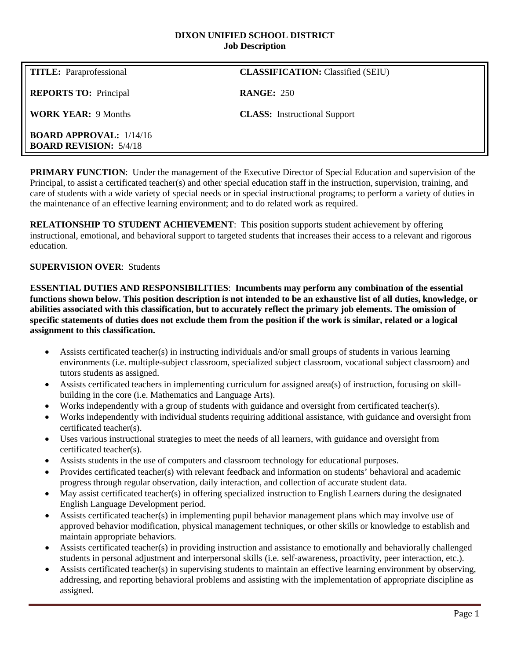#### **DIXON UNIFIED SCHOOL DISTRICT Job Description**

| <b>TITLE:</b> Paraprofessional                                  | <b>CLASSIFICATION: Classified (SEIU)</b> |
|-----------------------------------------------------------------|------------------------------------------|
| <b>REPORTS TO:</b> Principal                                    | <b>RANGE: 250</b>                        |
| <b>WORK YEAR: 9 Months</b>                                      | <b>CLASS:</b> Instructional Support      |
| <b>BOARD APPROVAL:</b> 1/14/16<br><b>BOARD REVISION: 5/4/18</b> |                                          |

**PRIMARY FUNCTION**: Under the management of the Executive Director of Special Education and supervision of the Principal, to assist a certificated teacher(s) and other special education staff in the instruction, supervision, training, and care of students with a wide variety of special needs or in special instructional programs; to perform a variety of duties in the maintenance of an effective learning environment; and to do related work as required.

**RELATIONSHIP TO STUDENT ACHIEVEMENT**: This position supports student achievement by offering instructional, emotional, and behavioral support to targeted students that increases their access to a relevant and rigorous education.

#### **SUPERVISION OVER**: Students

**ESSENTIAL DUTIES AND RESPONSIBILITIES**: **Incumbents may perform any combination of the essential functions shown below. This position description is not intended to be an exhaustive list of all duties, knowledge, or abilities associated with this classification, but to accurately reflect the primary job elements. The omission of specific statements of duties does not exclude them from the position if the work is similar, related or a logical assignment to this classification.**

- Assists certificated teacher(s) in instructing individuals and/or small groups of students in various learning environments (i.e. multiple-subject classroom, specialized subject classroom, vocational subject classroom) and tutors students as assigned.
- Assists certificated teachers in implementing curriculum for assigned area(s) of instruction, focusing on skillbuilding in the core (i.e. Mathematics and Language Arts).
- Works independently with a group of students with guidance and oversight from certificated teacher(s).
- Works independently with individual students requiring additional assistance, with guidance and oversight from certificated teacher(s).
- Uses various instructional strategies to meet the needs of all learners, with guidance and oversight from certificated teacher(s).
- Assists students in the use of computers and classroom technology for educational purposes.
- Provides certificated teacher(s) with relevant feedback and information on students' behavioral and academic progress through regular observation, daily interaction, and collection of accurate student data.
- May assist certificated teacher(s) in offering specialized instruction to English Learners during the designated English Language Development period.
- Assists certificated teacher(s) in implementing pupil behavior management plans which may involve use of approved behavior modification, physical management techniques, or other skills or knowledge to establish and maintain appropriate behaviors.
- Assists certificated teacher(s) in providing instruction and assistance to emotionally and behaviorally challenged students in personal adjustment and interpersonal skills (i.e. self-awareness, proactivity, peer interaction, etc.).
- Assists certificated teacher(s) in supervising students to maintain an effective learning environment by observing, addressing, and reporting behavioral problems and assisting with the implementation of appropriate discipline as assigned.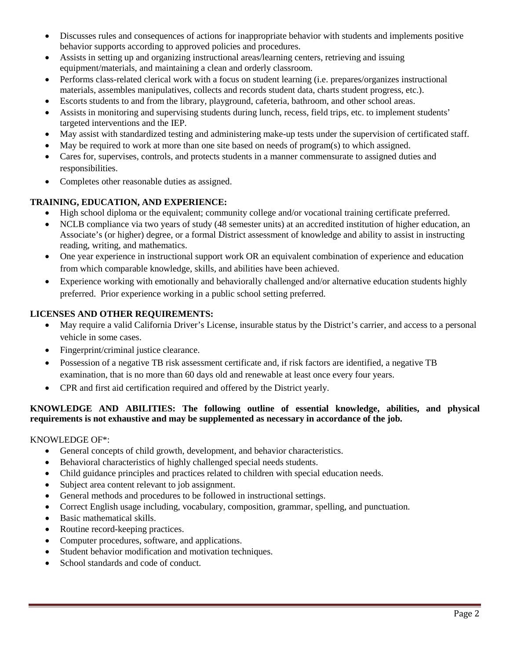- Discusses rules and consequences of actions for inappropriate behavior with students and implements positive behavior supports according to approved policies and procedures.
- Assists in setting up and organizing instructional areas/learning centers, retrieving and issuing equipment/materials, and maintaining a clean and orderly classroom.
- Performs class-related clerical work with a focus on student learning (i.e. prepares/organizes instructional materials, assembles manipulatives, collects and records student data, charts student progress, etc.).
- Escorts students to and from the library, playground, cafeteria, bathroom, and other school areas.
- Assists in monitoring and supervising students during lunch, recess, field trips, etc. to implement students' targeted interventions and the IEP.
- May assist with standardized testing and administering make-up tests under the supervision of certificated staff.
- May be required to work at more than one site based on needs of program(s) to which assigned.
- Cares for, supervises, controls, and protects students in a manner commensurate to assigned duties and responsibilities.
- Completes other reasonable duties as assigned.

# **TRAINING, EDUCATION, AND EXPERIENCE:**

- High school diploma or the equivalent; community college and/or vocational training certificate preferred.
- NCLB compliance via two years of study (48 semester units) at an accredited institution of higher education, an Associate's (or higher) degree, or a formal District assessment of knowledge and ability to assist in instructing reading, writing, and mathematics.
- One year experience in instructional support work OR an equivalent combination of experience and education from which comparable knowledge, skills, and abilities have been achieved.
- Experience working with emotionally and behaviorally challenged and/or alternative education students highly preferred. Prior experience working in a public school setting preferred.

# **LICENSES AND OTHER REQUIREMENTS:**

- May require a valid California Driver's License, insurable status by the District's carrier, and access to a personal vehicle in some cases.
- Fingerprint/criminal justice clearance.
- Possession of a negative TB risk assessment certificate and, if risk factors are identified, a negative TB examination, that is no more than 60 days old and renewable at least once every four years.
- CPR and first aid certification required and offered by the District yearly.

## **KNOWLEDGE AND ABILITIES: The following outline of essential knowledge, abilities, and physical requirements is not exhaustive and may be supplemented as necessary in accordance of the job.**

## KNOWLEDGE OF\*:

- General concepts of child growth, development, and behavior characteristics.
- Behavioral characteristics of highly challenged special needs students.
- Child guidance principles and practices related to children with special education needs.
- Subject area content relevant to job assignment.
- General methods and procedures to be followed in instructional settings.
- Correct English usage including, vocabulary, composition, grammar, spelling, and punctuation.
- Basic mathematical skills.
- Routine record-keeping practices.
- Computer procedures, software, and applications.
- Student behavior modification and motivation techniques.
- School standards and code of conduct.